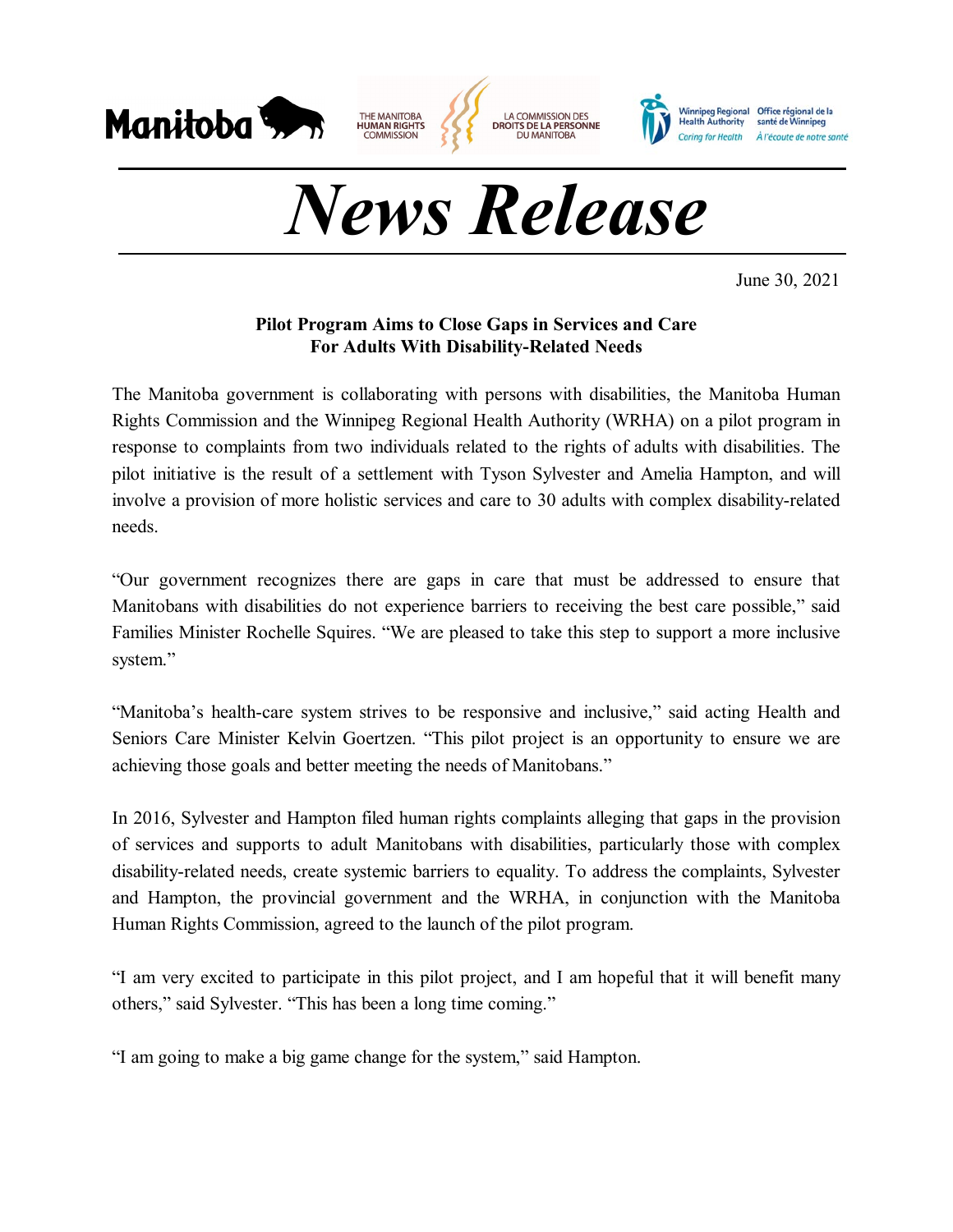

## *News Release*

June 30, 2021

## **Pilot Program Aims to Close Gaps in Services and Care For Adults With Disability-Related Needs**

The Manitoba government is collaborating with persons with disabilities, the Manitoba Human Rights Commission and the Winnipeg Regional Health Authority (WRHA) on a pilot program in response to complaints from two individuals related to the rights of adults with disabilities. The pilot initiative is the result of a settlement with Tyson Sylvester and Amelia Hampton, and will involve a provision of more holistic services and care to 30 adults with complex disability-related needs.

"Our government recognizes there are gaps in care that must be addressed to ensure that Manitobans with disabilities do not experience barriers to receiving the best care possible," said Families Minister Rochelle Squires. "We are pleased to take this step to support a more inclusive system."

"Manitoba's health-care system strives to be responsive and inclusive," said acting Health and Seniors Care Minister Kelvin Goertzen. "This pilot project is an opportunity to ensure we are achieving those goals and better meeting the needs of Manitobans."

In 2016, Sylvester and Hampton filed human rights complaints alleging that gaps in the provision of services and supports to adult Manitobans with disabilities, particularly those with complex disability-related needs, create systemic barriers to equality. To address the complaints, Sylvester and Hampton, the provincial government and the WRHA, in conjunction with the Manitoba Human Rights Commission, agreed to the launch of the pilot program.

"I am very excited to participate in this pilot project, and I am hopeful that it will benefit many others," said Sylvester. "This has been a long time coming."

"I am going to make a big game change for the system," said Hampton.